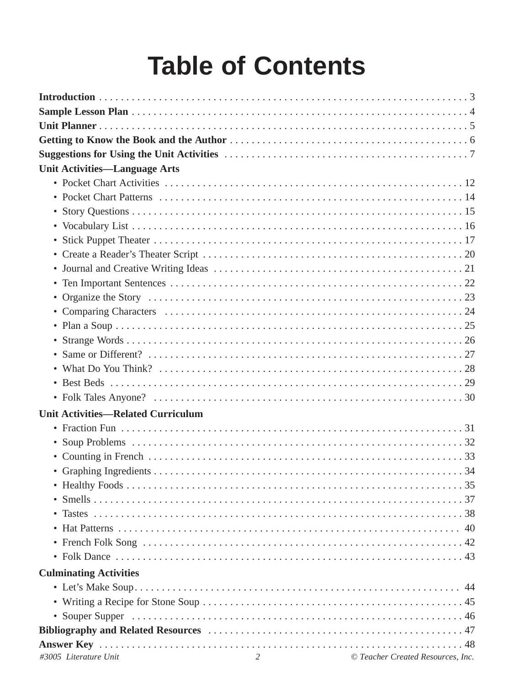# **Table of Contents**

| <b>Unit Activities-Language Arts</b>      |                                   |
|-------------------------------------------|-----------------------------------|
|                                           |                                   |
|                                           |                                   |
|                                           |                                   |
|                                           |                                   |
|                                           |                                   |
|                                           |                                   |
|                                           |                                   |
|                                           |                                   |
|                                           |                                   |
|                                           |                                   |
|                                           |                                   |
|                                           |                                   |
|                                           |                                   |
|                                           |                                   |
|                                           |                                   |
|                                           |                                   |
| <b>Unit Activities-Related Curriculum</b> |                                   |
|                                           |                                   |
|                                           |                                   |
|                                           |                                   |
|                                           |                                   |
|                                           |                                   |
|                                           |                                   |
|                                           |                                   |
|                                           |                                   |
|                                           |                                   |
|                                           |                                   |
| <b>Culminating Activities</b>             |                                   |
|                                           |                                   |
|                                           |                                   |
|                                           |                                   |
|                                           |                                   |
|                                           |                                   |
| $\overline{2}$<br>#3005 Literature Unit   | © Teacher Created Resources, Inc. |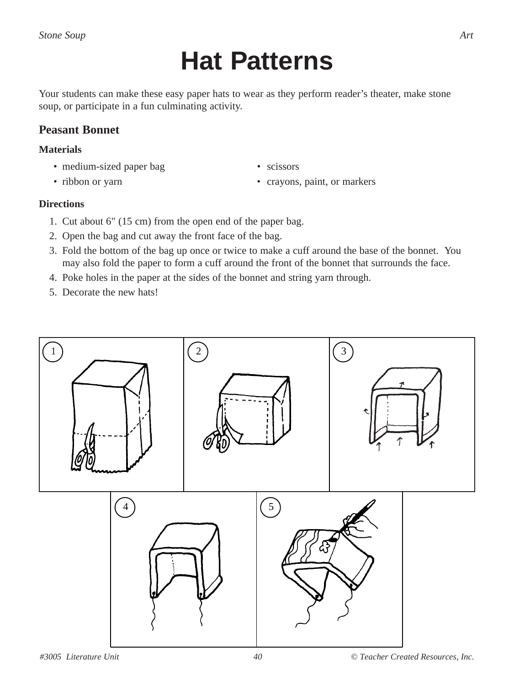## **Hat Patterns**

Your students can make these easy paper hats to wear as they perform reader's theater, make stone soup, or participate in a fun culminating activity.

### **Peasant Bonnet**

#### **Materials**

- medium-sized paper bag scissors
- 
- 
- ribbon or yarn crayons, paint, or markers

#### **Directions**

- 1. Cut about 6" (15 cm) from the open end of the paper bag.
- 2. Open the bag and cut away the front face of the bag.
- 3. Fold the bottom of the bag up once or twice to make a cuff around the base of the bonnet. You may also fold the paper to form a cuff around the front of the bonnet that surrounds the face.
- 4. Poke holes in the paper at the sides of the bonnet and string yarn through.
- 5. Decorate the new hats!